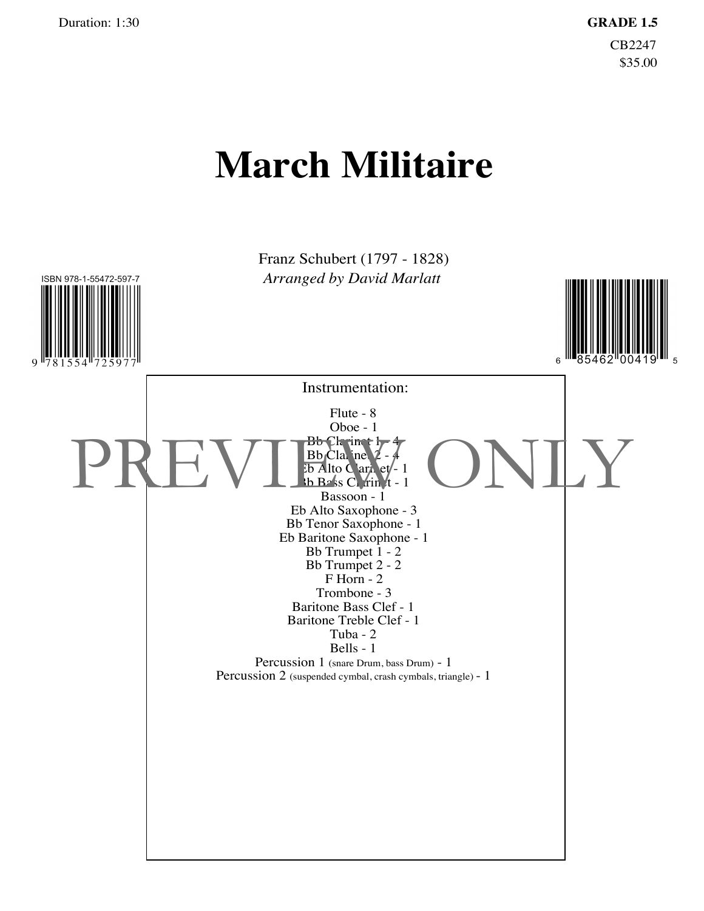## **March Militaire**

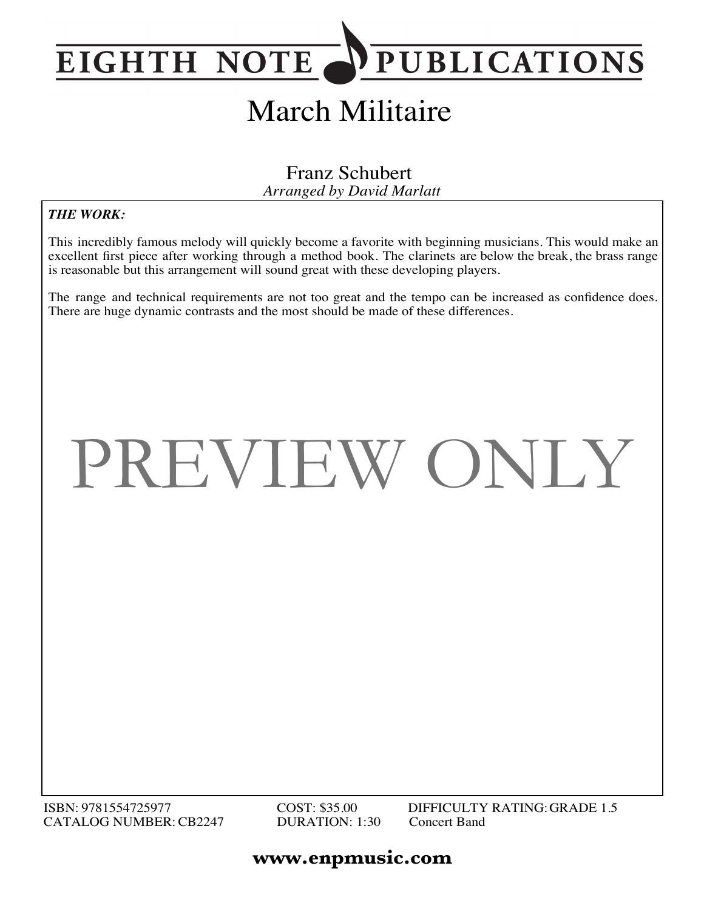

### March Militaire

*Arranged by David Marlatt* Franz Schubert

#### *THE WORK:*

This incredibly famous melody will quickly become a favorite with beginning musicians. This would make an excellent first piece after working through a method book. The clarinets are below the break, the brass range is reasonable but this arrangement will sound great with these developing players.

The range and technical requirements are not too great and the tempo can be increased as confidence does. There are huge dynamic contrasts and the most should be made of these differences.

# PREVIEW ONLY

ISBN: 9781554725977 CATALOG NUMBER: CB2247 COST: \$35.00 DURATION: 1:30 DIFFICULTY RATING:GRADE 1.5 Concert Band

#### **www.enpmusic.com**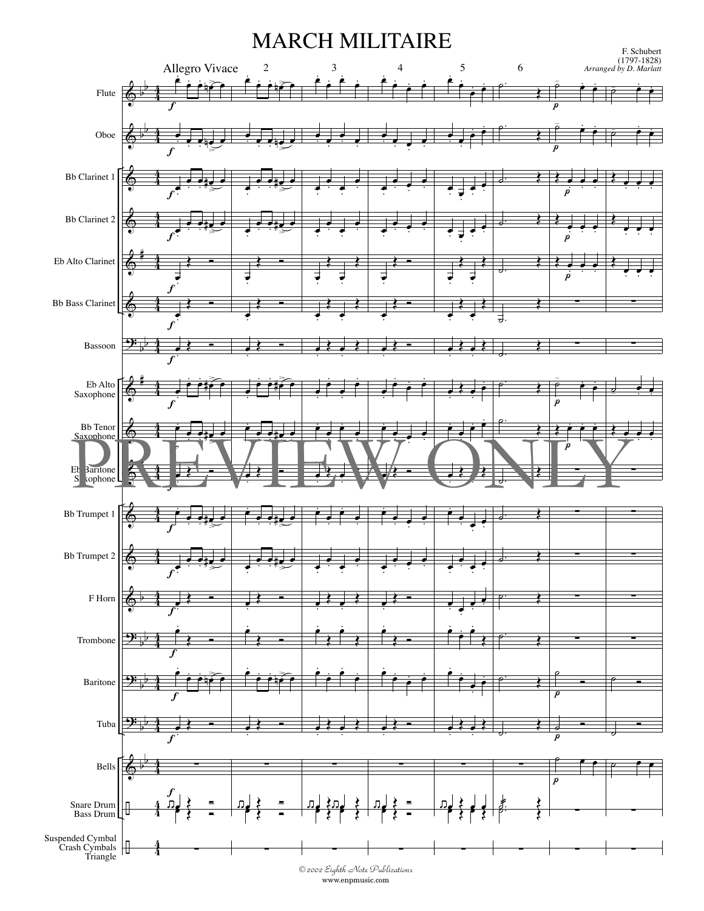

www.enpmusic.com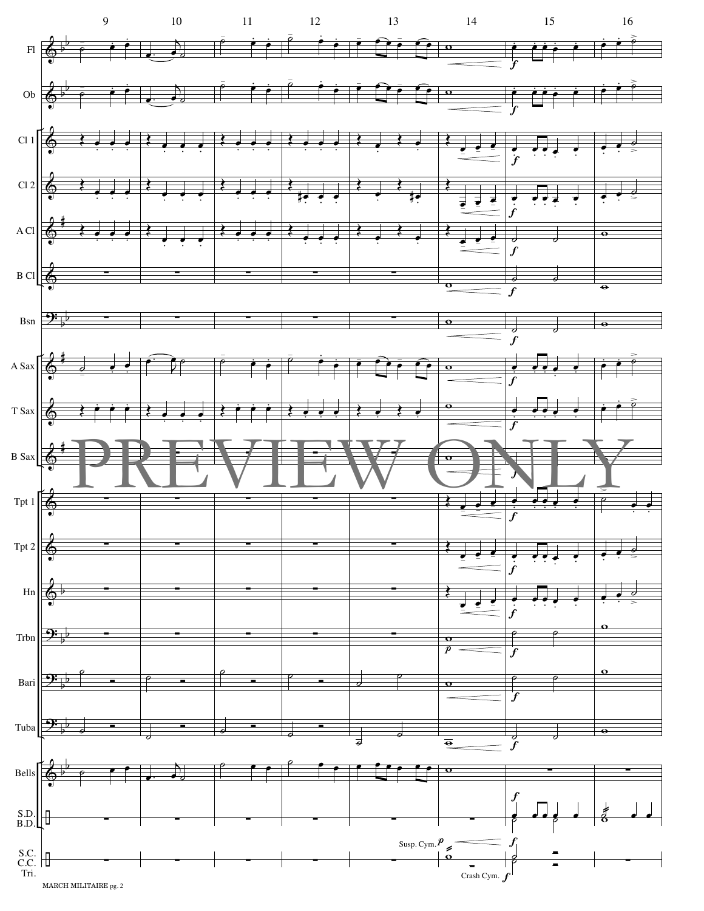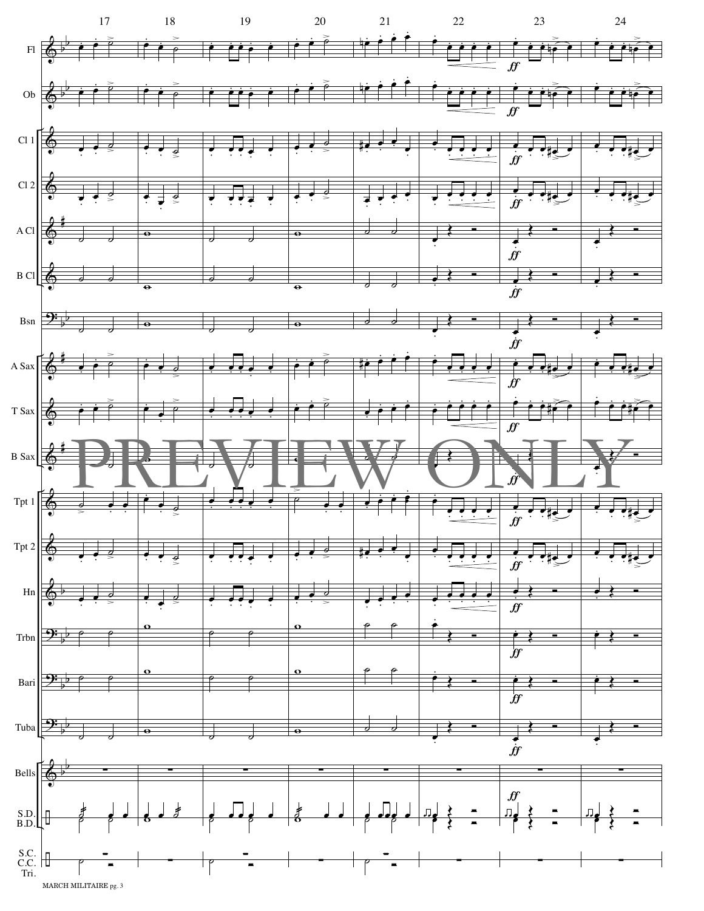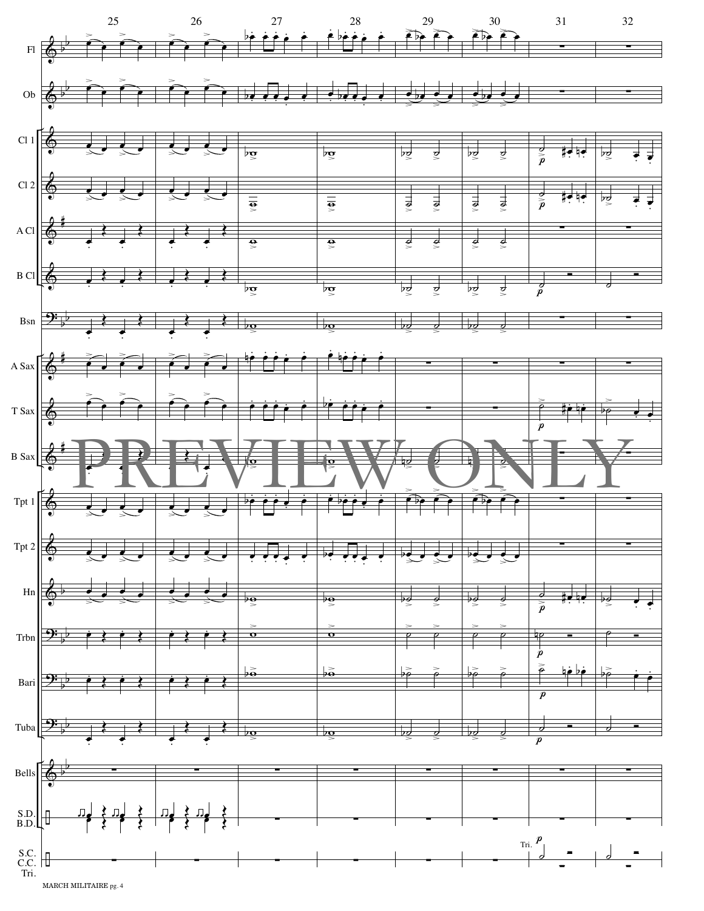

MARCH MILITAIRE pg. 4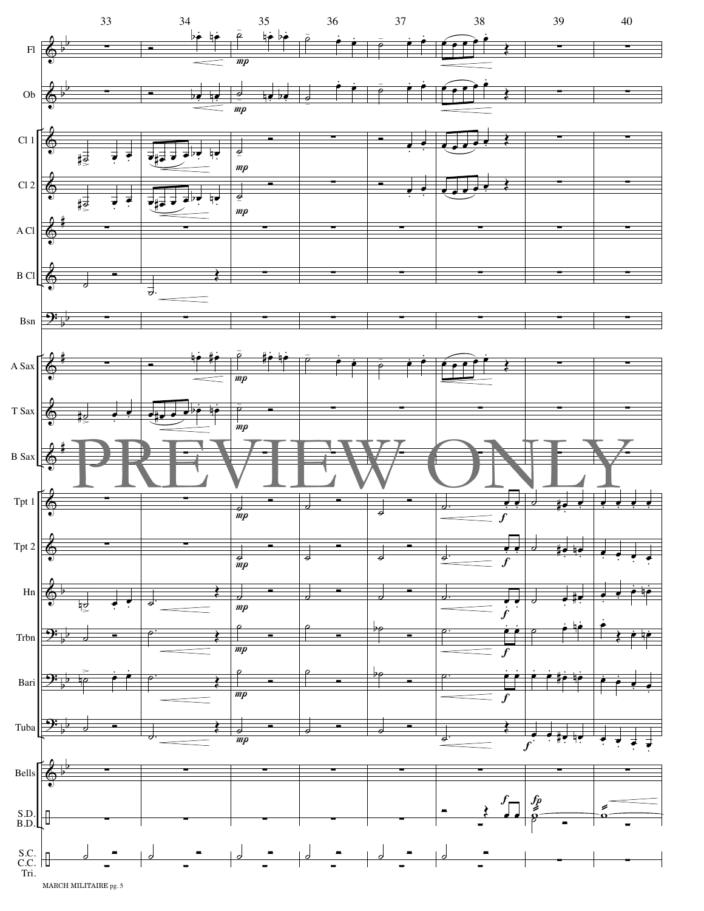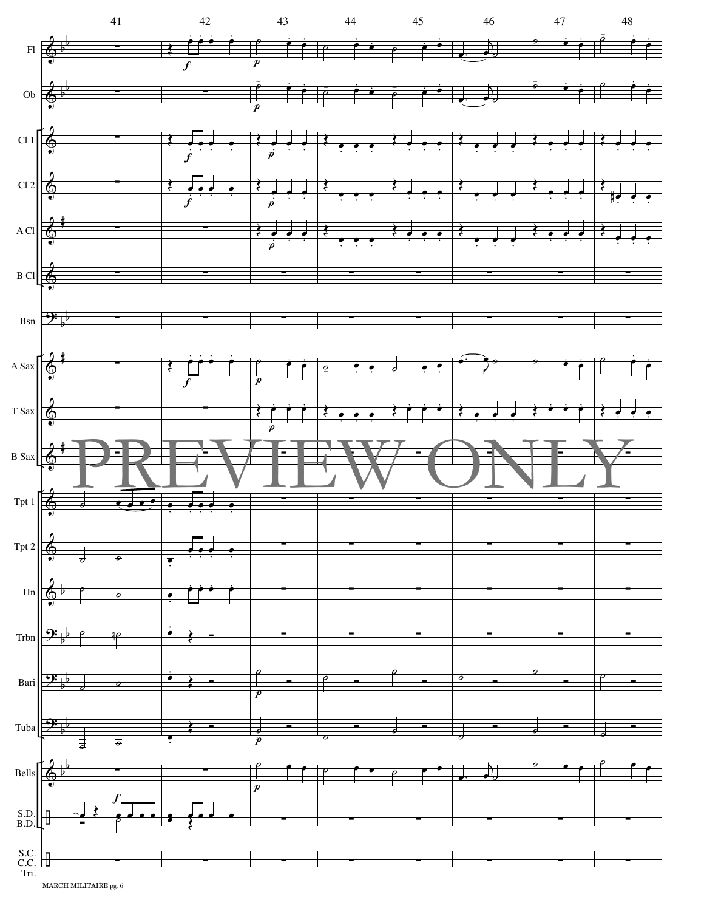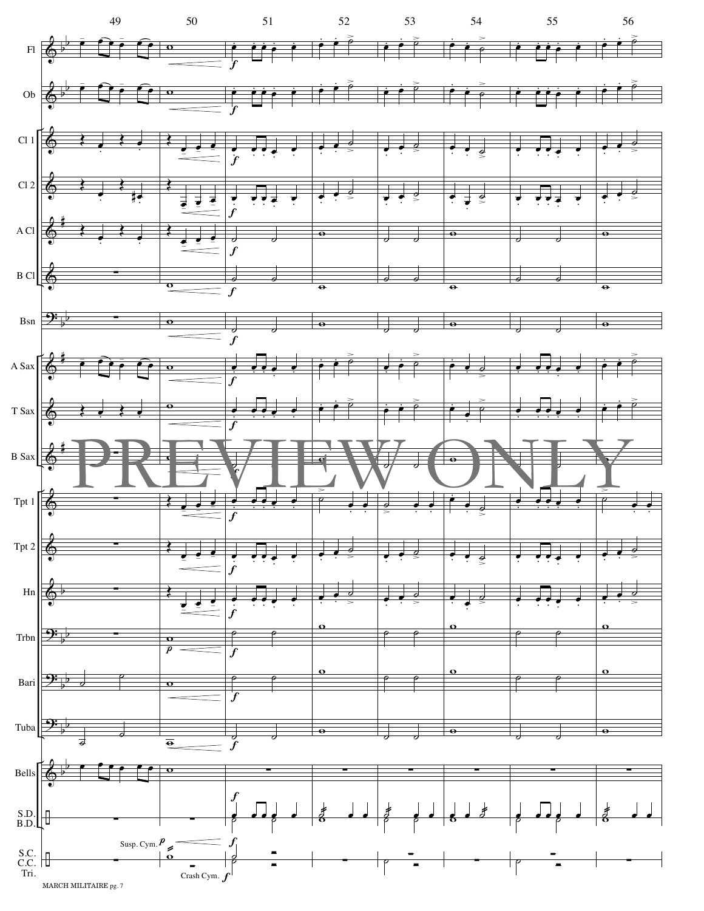